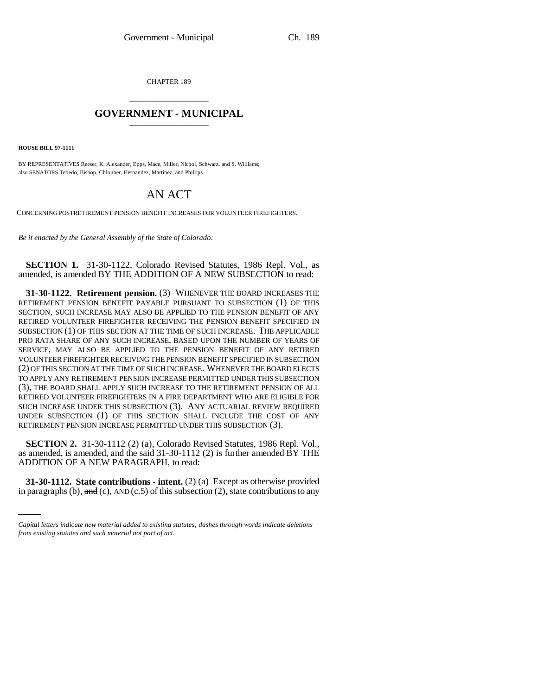CHAPTER 189 \_\_\_\_\_\_\_\_\_\_\_\_\_\_\_

## **GOVERNMENT - MUNICIPAL** \_\_\_\_\_\_\_\_\_\_\_\_\_\_\_

**HOUSE BILL 97-1111**

BY REPRESENTATIVES Reeser, K. Alexander, Epps, Mace, Miller, Nichol, Schwarz, and S. Williams; also SENATORS Tebedo, Bishop, Chlouber, Hernandez, Martinez, and Phillips.

## AN ACT

CONCERNING POSTRETIREMENT PENSION BENEFIT INCREASES FOR VOLUNTEER FIREFIGHTERS.

*Be it enacted by the General Assembly of the State of Colorado:*

**SECTION 1.** 31-30-1122, Colorado Revised Statutes, 1986 Repl. Vol., as amended, is amended BY THE ADDITION OF A NEW SUBSECTION to read:

**31-30-1122. Retirement pension.** (3) WHENEVER THE BOARD INCREASES THE RETIREMENT PENSION BENEFIT PAYABLE PURSUANT TO SUBSECTION (1) OF THIS SECTION, SUCH INCREASE MAY ALSO BE APPLIED TO THE PENSION BENEFIT OF ANY RETIRED VOLUNTEER FIREFIGHTER RECEIVING THE PENSION BENEFIT SPECIFIED IN SUBSECTION (1) OF THIS SECTION AT THE TIME OF SUCH INCREASE. THE APPLICABLE PRO RATA SHARE OF ANY SUCH INCREASE, BASED UPON THE NUMBER OF YEARS OF SERVICE, MAY ALSO BE APPLIED TO THE PENSION BENEFIT OF ANY RETIRED VOLUNTEER FIREFIGHTER RECEIVING THE PENSION BENEFIT SPECIFIED IN SUBSECTION (2) OF THIS SECTION AT THE TIME OF SUCH INCREASE. WHENEVER THE BOARD ELECTS TO APPLY ANY RETIREMENT PENSION INCREASE PERMITTED UNDER THIS SUBSECTION (3), THE BOARD SHALL APPLY SUCH INCREASE TO THE RETIREMENT PENSION OF ALL RETIRED VOLUNTEER FIREFIGHTERS IN A FIRE DEPARTMENT WHO ARE ELIGIBLE FOR SUCH INCREASE UNDER THIS SUBSECTION (3). ANY ACTUARIAL REVIEW REQUIRED UNDER SUBSECTION (1) OF THIS SECTION SHALL INCLUDE THE COST OF ANY RETIREMENT PENSION INCREASE PERMITTED UNDER THIS SUBSECTION (3).

ADDITION OF A NEW PARAGRAPH, to read: **SECTION 2.** 31-30-1112 (2) (a), Colorado Revised Statutes, 1986 Repl. Vol., as amended, is amended, and the said  $31-30-1112$  (2) is further amended  $\overrightarrow{BY}$  THE

**31-30-1112. State contributions - intent.** (2) (a) Except as otherwise provided in paragraphs (b),  $\overline{and}$  (c),  $AND$  (c.5) of this subsection (2), state contributions to any

*Capital letters indicate new material added to existing statutes; dashes through words indicate deletions from existing statutes and such material not part of act.*